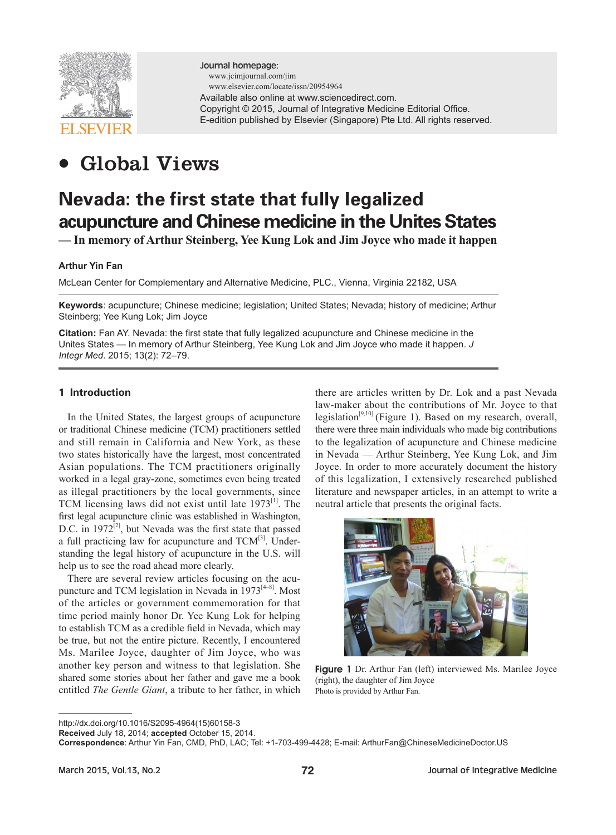

Journal homepage: www.jcimjournal.com/jim www.elsevier.com/locate/issn/20954964 Available also online at www.sciencedirect.com. Copyright © 2015, Journal of Integrative Medicine Editorial Office. E-edition published by Elsevier (Singapore) Pte Ltd. All rights reserved.

# ● **Global Views**

# Nevada: the first state that fully legalized acupuncture and Chinese medicine in the Unites States

**— In memory of Arthur Steinberg, Yee Kung Lok and Jim Joyce who made it happen**

#### **Arthur Yin Fan**

McLean Center for Complementary and Alternative Medicine, PLC., Vienna, Virginia 22182, USA

**Keywords**: acupuncture; Chinese medicine; legislation; United States; Nevada; history of medicine; Arthur Steinberg; Yee Kung Lok; Jim Joyce

**Citation:** Fan AY. Nevada: the first state that fully legalized acupuncture and Chinese medicine in the Unites States — In memory of Arthur Steinberg, Yee Kung Lok and Jim Joyce who made it happen. *J Integr Med*. 2015; 13(2): 72–79.

## 1 Introduction

In the United States, the largest groups of acupuncture or traditional Chinese medicine (TCM) practitioners settled and still remain in California and New York, as these two states historically have the largest, most concentrated Asian populations. The TCM practitioners originally worked in a legal gray-zone, sometimes even being treated as illegal practitioners by the local governments, since TCM licensing laws did not exist until late  $1973$ <sup>[1]</sup>. The first legal acupuncture clinic was established in Washington, D.C. in  $1972^{[2]}$ , but Nevada was the first state that passed a full practicing law for acupuncture and  $TCM<sup>[3]</sup>$ . Understanding the legal history of acupuncture in the U.S. will help us to see the road ahead more clearly.

There are several review articles focusing on the acupuncture and TCM legislation in Nevada in  $1973^{[4-8]}$ . Most of the articles or government commemoration for that time period mainly honor Dr. Yee Kung Lok for helping to establish TCM as a credible field in Nevada, which may be true, but not the entire picture. Recently, I encountered Ms. Marilee Joyce, daughter of Jim Joyce, who was another key person and witness to that legislation. She shared some stories about her father and gave me a book entitled *The Gentle Giant*, a tribute to her father, in which

there are articles written by Dr. Lok and a past Nevada law-maker about the contributions of Mr. Joyce to that legislation<sup>[9,10]</sup> (Figure 1). Based on my research, overall, there were three main individuals who made big contributions to the legalization of acupuncture and Chinese medicine in Nevada — Arthur Steinberg, Yee Kung Lok, and Jim Joyce. In order to more accurately document the history of this legalization, I extensively researched published literature and newspaper articles, in an attempt to write a neutral article that presents the original facts.



Figure 1 Dr. Arthur Fan (left) interviewed Ms. Marilee Joyce (right), the daughter of Jim Joyce Photo is provided by Arthur Fan.

http://dx.doi.org/10.1016/S2095-4964(15)60158-3

**Received** July 18, 2014; **accepted** October 15, 2014.

**Correspondence**: Arthur Yin Fan, CMD, PhD, LAC; Tel: +1-703-499-4428; E-mail: ArthurFan@ChineseMedicineDoctor.US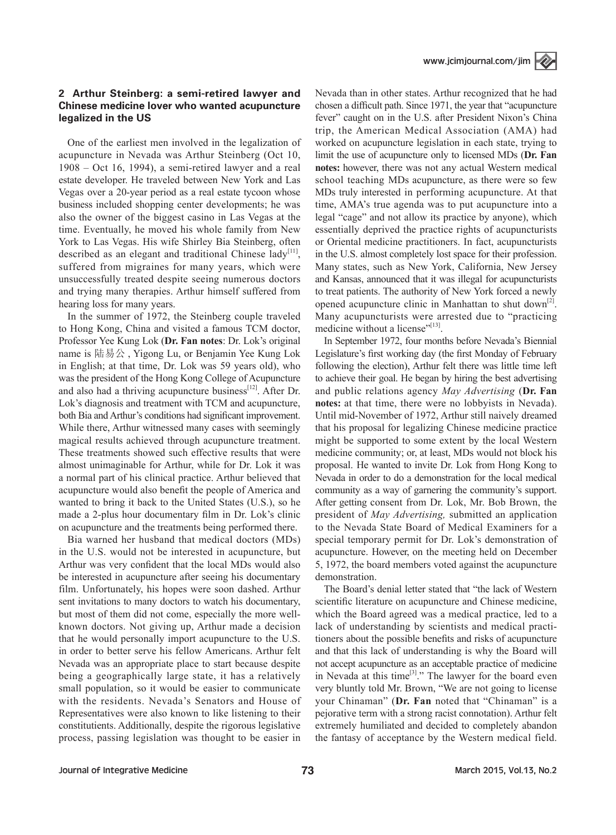

### 2 Arthur Steinberg: a semi**-**retired lawyer and Chinese medicine lover who wanted acupuncture legalized in the US

One of the earliest men involved in the legalization of acupuncture in Nevada was Arthur Steinberg (Oct 10, 1908 – Oct 16, 1994), a semi-retired lawyer and a real estate developer. He traveled between New York and Las Vegas over a 20-year period as a real estate tycoon whose business included shopping center developments; he was also the owner of the biggest casino in Las Vegas at the time. Eventually, he moved his whole family from New York to Las Vegas. His wife Shirley Bia Steinberg, often described as an elegant and traditional Chinese lady<sup>[11]</sup>, suffered from migraines for many years, which were unsuccessfully treated despite seeing numerous doctors and trying many therapies. Arthur himself suffered from hearing loss for many years.

In the summer of 1972, the Steinberg couple traveled to Hong Kong, China and visited a famous TCM doctor, Professor Yee Kung Lok (**Dr. Fan notes**: Dr. Lok's original name is 陆易公 , Yigong Lu, or Benjamin Yee Kung Lok in English; at that time, Dr. Lok was 59 years old), who was the president of the Hong Kong College of Acupuncture and also had a thriving acupuncture business $[12]$ . After Dr. Lok's diagnosis and treatment with TCM and acupuncture, both Bia and Arthur's conditions had significant improvement. While there, Arthur witnessed many cases with seemingly magical results achieved through acupuncture treatment. These treatments showed such effective results that were almost unimaginable for Arthur, while for Dr. Lok it was a normal part of his clinical practice. Arthur believed that acupuncture would also benefit the people of America and wanted to bring it back to the United States (U.S.), so he made a 2-plus hour documentary film in Dr. Lok's clinic on acupuncture and the treatments being performed there.

Bia warned her husband that medical doctors (MDs) in the U.S. would not be interested in acupuncture, but Arthur was very confident that the local MDs would also be interested in acupuncture after seeing his documentary film. Unfortunately, his hopes were soon dashed. Arthur sent invitations to many doctors to watch his documentary, but most of them did not come, especially the more wellknown doctors. Not giving up, Arthur made a decision that he would personally import acupuncture to the U.S. in order to better serve his fellow Americans. Arthur felt Nevada was an appropriate place to start because despite being a geographically large state, it has a relatively small population, so it would be easier to communicate with the residents. Nevada's Senators and House of Representatives were also known to like listening to their constitutients. Additionally, despite the rigorous legislative process, passing legislation was thought to be easier in Nevada than in other states. Arthur recognized that he had chosen a difficult path. Since 1971, the year that "acupuncture fever" caught on in the U.S. after President Nixon's China trip, the American Medical Association (AMA) had worked on acupuncture legislation in each state, trying to limit the use of acupuncture only to licensed MDs (**Dr. Fan notes:** however, there was not any actual Western medical school teaching MDs acupuncture, as there were so few MDs truly interested in performing acupuncture. At that time, AMA's true agenda was to put acupuncture into a legal "cage" and not allow its practice by anyone), which essentially deprived the practice rights of acupuncturists or Oriental medicine practitioners. In fact, acupuncturists in the U.S. almost completely lost space for their profession. Many states, such as New York, California, New Jersey and Kansas, announced that it was illegal for acupuncturists to treat patients. The authority of New York forced a newly opened acupuncture clinic in Manhattan to shut down<sup>[2]</sup>. Many acupuncturists were arrested due to "practicing medicine without a license"[13].

In September 1972, four months before Nevada's Biennial Legislature's first working day (the first Monday of February following the election), Arthur felt there was little time left to achieve their goal. He began by hiring the best advertising and public relations agency *May Advertising* (**Dr. Fan notes:** at that time, there were no lobbyists in Nevada). Until mid-November of 1972, Arthur still naively dreamed that his proposal for legalizing Chinese medicine practice might be supported to some extent by the local Western medicine community; or, at least, MDs would not block his proposal. He wanted to invite Dr. Lok from Hong Kong to Nevada in order to do a demonstration for the local medical community as a way of garnering the community's support. After getting consent from Dr. Lok, Mr. Bob Brown, the president of *May Advertising,* submitted an application to the Nevada State Board of Medical Examiners for a special temporary permit for Dr. Lok's demonstration of acupuncture. However, on the meeting held on December 5, 1972, the board members voted against the acupuncture demonstration.

The Board's denial letter stated that "the lack of Western scientific literature on acupuncture and Chinese medicine, which the Board agreed was a medical practice, led to a lack of understanding by scientists and medical practitioners about the possible benefits and risks of acupuncture and that this lack of understanding is why the Board will not accept acupuncture as an acceptable practice of medicine in Nevada at this time<sup>[3]</sup>." The lawyer for the board even very bluntly told Mr. Brown, "We are not going to license your Chinaman" (**Dr. Fan** noted that "Chinaman" is a pejorative term with a strong racist connotation). Arthur felt extremely humiliated and decided to completely abandon the fantasy of acceptance by the Western medical field.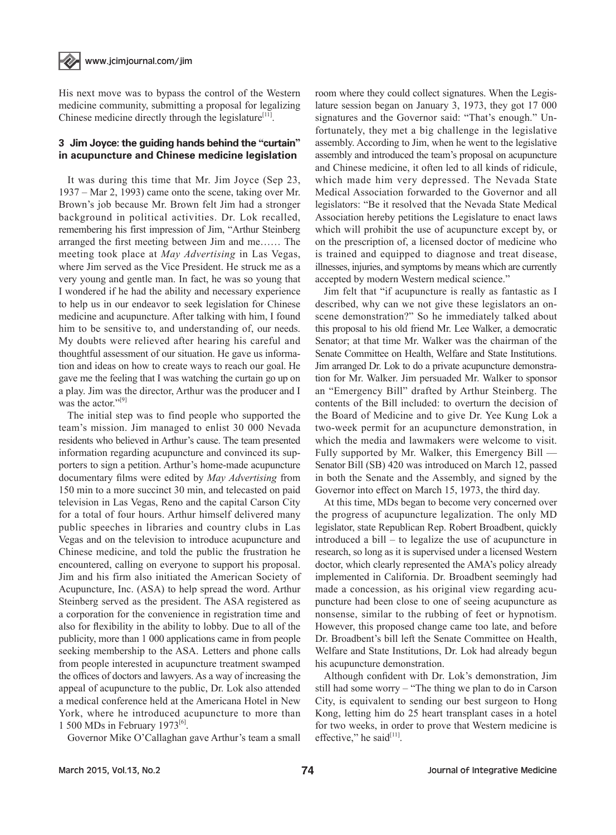

His next move was to bypass the control of the Western medicine community, submitting a proposal for legalizing Chinese medicine directly through the legislature<sup>[11]</sup>.

#### 3 Jim Joyce: the guiding hands behind the **"**curtain**"** in acupuncture and Chinese medicine legislation

It was during this time that Mr. Jim Joyce (Sep 23, 1937 – Mar 2, 1993) came onto the scene, taking over Mr. Brown's job because Mr. Brown felt Jim had a stronger background in political activities. Dr. Lok recalled, remembering his first impression of Jim, "Arthur Steinberg arranged the first meeting between Jim and me…… The meeting took place at *May Advertising* in Las Vegas, where Jim served as the Vice President. He struck me as a very young and gentle man. In fact, he was so young that I wondered if he had the ability and necessary experience to help us in our endeavor to seek legislation for Chinese medicine and acupuncture. After talking with him, I found him to be sensitive to, and understanding of, our needs. My doubts were relieved after hearing his careful and thoughtful assessment of our situation. He gave us information and ideas on how to create ways to reach our goal. He gave me the feeling that I was watching the curtain go up on a play. Jim was the director, Arthur was the producer and I was the actor."<sup>[9]</sup>

The initial step was to find people who supported the team's mission. Jim managed to enlist 30 000 Nevada residents who believed in Arthur's cause. The team presented information regarding acupuncture and convinced its supporters to sign a petition. Arthur's home-made acupuncture documentary films were edited by *May Advertising* from 150 min to a more succinct 30 min, and telecasted on paid television in Las Vegas, Reno and the capital Carson City for a total of four hours. Arthur himself delivered many public speeches in libraries and country clubs in Las Vegas and on the television to introduce acupuncture and Chinese medicine, and told the public the frustration he encountered, calling on everyone to support his proposal. Jim and his firm also initiated the American Society of Acupuncture, Inc. (ASA) to help spread the word. Arthur Steinberg served as the president. The ASA registered as a corporation for the convenience in registration time and also for flexibility in the ability to lobby. Due to all of the publicity, more than 1 000 applications came in from people seeking membership to the ASA. Letters and phone calls from people interested in acupuncture treatment swamped the offices of doctors and lawyers. As a way of increasing the appeal of acupuncture to the public, Dr. Lok also attended a medical conference held at the Americana Hotel in New York, where he introduced acupuncture to more than 1 500 MDs in February 1973<sup>[6]</sup>.

Governor Mike O'Callaghan gave Arthur's team a small

room where they could collect signatures. When the Legislature session began on January 3, 1973, they got 17 000 signatures and the Governor said: "That's enough." Unfortunately, they met a big challenge in the legislative assembly. According to Jim, when he went to the legislative assembly and introduced the team's proposal on acupuncture and Chinese medicine, it often led to all kinds of ridicule, which made him very depressed. The Nevada State Medical Association forwarded to the Governor and all legislators: "Be it resolved that the Nevada State Medical Association hereby petitions the Legislature to enact laws which will prohibit the use of acupuncture except by, or on the prescription of, a licensed doctor of medicine who is trained and equipped to diagnose and treat disease, illnesses, injuries, and symptoms by means which are currently accepted by modern Western medical science."

Jim felt that "if acupuncture is really as fantastic as I described, why can we not give these legislators an onscene demonstration?" So he immediately talked about this proposal to his old friend Mr. Lee Walker, a democratic Senator; at that time Mr. Walker was the chairman of the Senate Committee on Health, Welfare and State Institutions. Jim arranged Dr. Lok to do a private acupuncture demonstration for Mr. Walker. Jim persuaded Mr. Walker to sponsor an "Emergency Bill" drafted by Arthur Steinberg. The contents of the Bill included: to overturn the decision of the Board of Medicine and to give Dr. Yee Kung Lok a two-week permit for an acupuncture demonstration, in which the media and lawmakers were welcome to visit. Fully supported by Mr. Walker, this Emergency Bill — Senator Bill (SB) 420 was introduced on March 12, passed in both the Senate and the Assembly, and signed by the Governor into effect on March 15, 1973, the third day.

At this time, MDs began to become very concerned over the progress of acupuncture legalization. The only MD legislator, state Republican Rep. Robert Broadbent, quickly introduced a bill – to legalize the use of acupuncture in research, so long as it is supervised under a licensed Western doctor, which clearly represented the AMA's policy already implemented in California. Dr. Broadbent seemingly had made a concession, as his original view regarding acupuncture had been close to one of seeing acupuncture as nonsense, similar to the rubbing of feet or hypnotism. However, this proposed change came too late, and before Dr. Broadbent's bill left the Senate Committee on Health, Welfare and State Institutions, Dr. Lok had already begun his acupuncture demonstration.

Although confident with Dr. Lok's demonstration, Jim still had some worry – "The thing we plan to do in Carson City, is equivalent to sending our best surgeon to Hong Kong, letting him do 25 heart transplant cases in a hotel for two weeks, in order to prove that Western medicine is effective," he said $^{[11]}$ .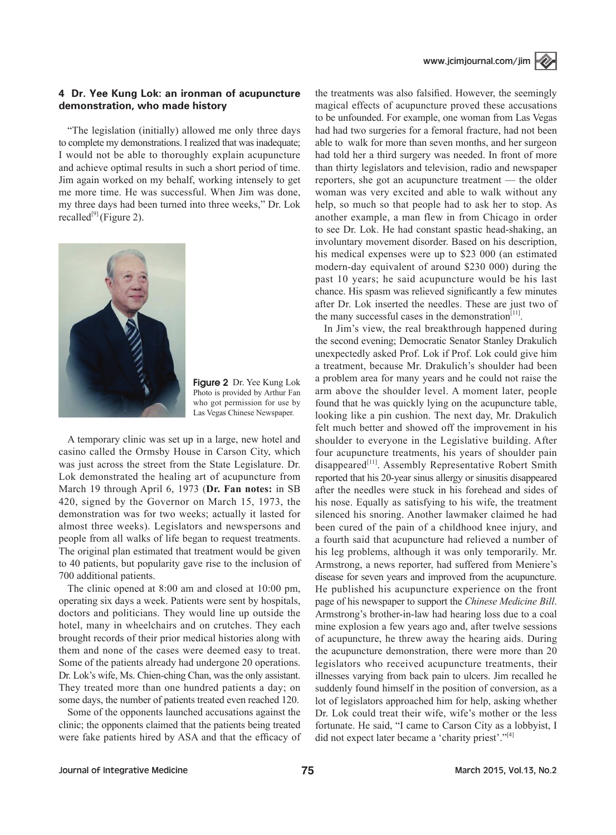

#### 4 Dr. Yee Kung Lok: an ironman of acupuncture demonstration, who made history

"The legislation (initially) allowed me only three days to complete my demonstrations. I realized that was inadequate; I would not be able to thoroughly explain acupuncture and achieve optimal results in such a short period of time. Jim again worked on my behalf, working intensely to get me more time. He was successful. When Jim was done, my three days had been turned into three weeks," Dr. Lok recalled<sup>[9]</sup> (Figure 2).



Figure 2 Dr. Yee Kung Lok Photo is provided by Arthur Fan who got permission for use by Las Vegas Chinese Newspaper.

A temporary clinic was set up in a large, new hotel and casino called the Ormsby House in Carson City, which was just across the street from the State Legislature. Dr. Lok demonstrated the healing art of acupuncture from March 19 through April 6, 1973 (**Dr. Fan notes:** in SB 420, signed by the Governor on March 15, 1973, the demonstration was for two weeks; actually it lasted for almost three weeks). Legislators and newspersons and people from all walks of life began to request treatments. The original plan estimated that treatment would be given to 40 patients, but popularity gave rise to the inclusion of 700 additional patients.

The clinic opened at 8:00 am and closed at 10:00 pm, operating six days a week. Patients were sent by hospitals, doctors and politicians. They would line up outside the hotel, many in wheelchairs and on crutches. They each brought records of their prior medical histories along with them and none of the cases were deemed easy to treat. Some of the patients already had undergone 20 operations. Dr. Lok's wife, Ms. Chien-ching Chan, was the only assistant. They treated more than one hundred patients a day; on some days, the number of patients treated even reached 120.

Some of the opponents launched accusations against the clinic; the opponents claimed that the patients being treated were fake patients hired by ASA and that the efficacy of

the treatments was also falsified. However, the seemingly magical effects of acupuncture proved these accusations to be unfounded. For example, one woman from Las Vegas had had two surgeries for a femoral fracture, had not been able to walk for more than seven months, and her surgeon had told her a third surgery was needed. In front of more than thirty legislators and television, radio and newspaper reporters, she got an acupuncture treatment — the older woman was very excited and able to walk without any help, so much so that people had to ask her to stop. As another example, a man flew in from Chicago in order to see Dr. Lok. He had constant spastic head-shaking, an involuntary movement disorder. Based on his description, his medical expenses were up to \$23 000 (an estimated modern-day equivalent of around \$230 000) during the past 10 years; he said acupuncture would be his last chance. His spasm was relieved significantly a few minutes after Dr. Lok inserted the needles. These are just two of the many successful cases in the demonstration<sup>[11]</sup>.

In Jim's view, the real breakthrough happened during the second evening; Democratic Senator Stanley Drakulich unexpectedly asked Prof. Lok if Prof. Lok could give him a treatment, because Mr. Drakulich's shoulder had been a problem area for many years and he could not raise the arm above the shoulder level. A moment later, people found that he was quickly lying on the acupuncture table, looking like a pin cushion. The next day, Mr. Drakulich felt much better and showed off the improvement in his shoulder to everyone in the Legislative building. After four acupuncture treatments, his years of shoulder pain disappeared<sup>[11]</sup>. Assembly Representative Robert Smith reported that his 20-year sinus allergy or sinusitis disappeared after the needles were stuck in his forehead and sides of his nose. Equally as satisfying to his wife, the treatment silenced his snoring. Another lawmaker claimed he had been cured of the pain of a childhood knee injury, and a fourth said that acupuncture had relieved a number of his leg problems, although it was only temporarily. Mr. Armstrong, a news reporter, had suffered from Meniere's disease for seven years and improved from the acupuncture. He published his acupuncture experience on the front page of his newspaper to support the *Chinese Medicine Bill*. Armstrong's brother-in-law had hearing loss due to a coal mine explosion a few years ago and, after twelve sessions of acupuncture, he threw away the hearing aids. During the acupuncture demonstration, there were more than 20 legislators who received acupuncture treatments, their illnesses varying from back pain to ulcers. Jim recalled he suddenly found himself in the position of conversion, as a lot of legislators approached him for help, asking whether Dr. Lok could treat their wife, wife's mother or the less fortunate. He said, "I came to Carson City as a lobbyist, I did not expect later became a 'charity priest'."<sup>[4]</sup>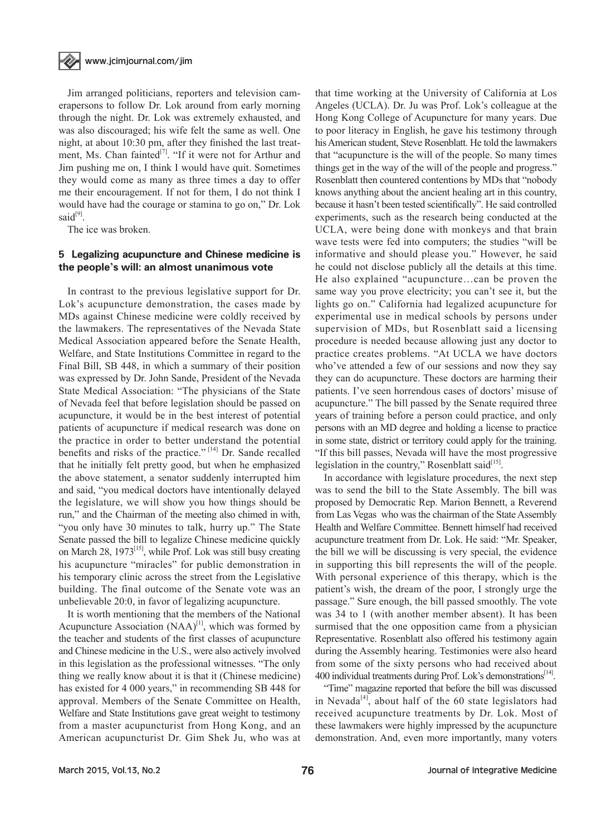

Jim arranged politicians, reporters and television camerapersons to follow Dr. Lok around from early morning through the night. Dr. Lok was extremely exhausted, and was also discouraged; his wife felt the same as well. One night, at about 10:30 pm, after they finished the last treatment, Ms. Chan fainted<sup>[7]</sup>. "If it were not for Arthur and Jim pushing me on, I think I would have quit. Sometimes they would come as many as three times a day to offer me their encouragement. If not for them, I do not think I would have had the courage or stamina to go on," Dr. Lok said<sup>[9]</sup>.

The ice was broken.

#### 5 Legalizing acupuncture and Chinese medicine is the people**'**s will: an almost unanimous vote

In contrast to the previous legislative support for Dr. Lok's acupuncture demonstration, the cases made by MDs against Chinese medicine were coldly received by the lawmakers. The representatives of the Nevada State Medical Association appeared before the Senate Health, Welfare, and State Institutions Committee in regard to the Final Bill, SB 448, in which a summary of their position was expressed by Dr. John Sande, President of the Nevada State Medical Association: "The physicians of the State of Nevada feel that before legislation should be passed on acupuncture, it would be in the best interest of potential patients of acupuncture if medical research was done on the practice in order to better understand the potential benefits and risks of the practice."<sup>[14]</sup> Dr. Sande recalled that he initially felt pretty good, but when he emphasized the above statement, a senator suddenly interrupted him and said, "you medical doctors have intentionally delayed the legislature, we will show you how things should be run," and the Chairman of the meeting also chimed in with, "you only have 30 minutes to talk, hurry up." The State Senate passed the bill to legalize Chinese medicine quickly on March 28, 1973<sup>[15]</sup>, while Prof. Lok was still busy creating his acupuncture "miracles" for public demonstration in his temporary clinic across the street from the Legislative building. The final outcome of the Senate vote was an unbelievable 20:0, in favor of legalizing acupuncture.

It is worth mentioning that the members of the National Acupuncture Association  $(NAA)^{11}$ , which was formed by the teacher and students of the first classes of acupuncture and Chinese medicine in the U.S., were also actively involved in this legislation as the professional witnesses. "The only thing we really know about it is that it (Chinese medicine) has existed for 4 000 years," in recommending SB 448 for approval. Members of the Senate Committee on Health, Welfare and State Institutions gave great weight to testimony from a master acupuncturist from Hong Kong, and an American acupuncturist Dr. Gim Shek Ju, who was at

that time working at the University of California at Los Angeles (UCLA). Dr. Ju was Prof. Lok's colleague at the Hong Kong College of Acupuncture for many years. Due to poor literacy in English, he gave his testimony through his American student, Steve Rosenblatt. He told the lawmakers that "acupuncture is the will of the people. So many times things get in the way of the will of the people and progress." Rosenblatt then countered contentions by MDs that "nobody knows anything about the ancient healing art in this country, because it hasn't been tested scientifically". He said controlled experiments, such as the research being conducted at the UCLA, were being done with monkeys and that brain wave tests were fed into computers; the studies "will be informative and should please you." However, he said he could not disclose publicly all the details at this time. He also explained "acupuncture…can be proven the same way you prove electricity; you can't see it, but the lights go on." California had legalized acupuncture for experimental use in medical schools by persons under supervision of MDs, but Rosenblatt said a licensing procedure is needed because allowing just any doctor to practice creates problems. "At UCLA we have doctors who've attended a few of our sessions and now they say they can do acupuncture. These doctors are harming their patients. I've seen horrendous cases of doctors' misuse of acupuncture." The bill passed by the Senate required three years of training before a person could practice, and only persons with an MD degree and holding a license to practice in some state, district or territory could apply for the training. "If this bill passes, Nevada will have the most progressive legislation in the country," Rosenblatt said $\mathbf{I}^{[15]}$ .

In accordance with legislature procedures, the next step was to send the bill to the State Assembly. The bill was proposed by Democratic Rep. Marion Bennett, a Reverend from Las Vegas who was the chairman of the State Assembly Health and Welfare Committee. Bennett himself had received acupuncture treatment from Dr. Lok. He said: "Mr. Speaker, the bill we will be discussing is very special, the evidence in supporting this bill represents the will of the people. With personal experience of this therapy, which is the patient's wish, the dream of the poor, I strongly urge the passage." Sure enough, the bill passed smoothly. The vote was 34 to 1 (with another member absent). It has been surmised that the one opposition came from a physician Representative. Rosenblatt also offered his testimony again during the Assembly hearing. Testimonies were also heard from some of the sixty persons who had received about 400 individual treatments during Prof. Lok's demonstrations<sup>[14]</sup>.

"Time" magazine reported that before the bill was discussed in Nevada<sup>[4]</sup>, about half of the 60 state legislators had received acupuncture treatments by Dr. Lok. Most of these lawmakers were highly impressed by the acupuncture demonstration. And, even more importantly, many voters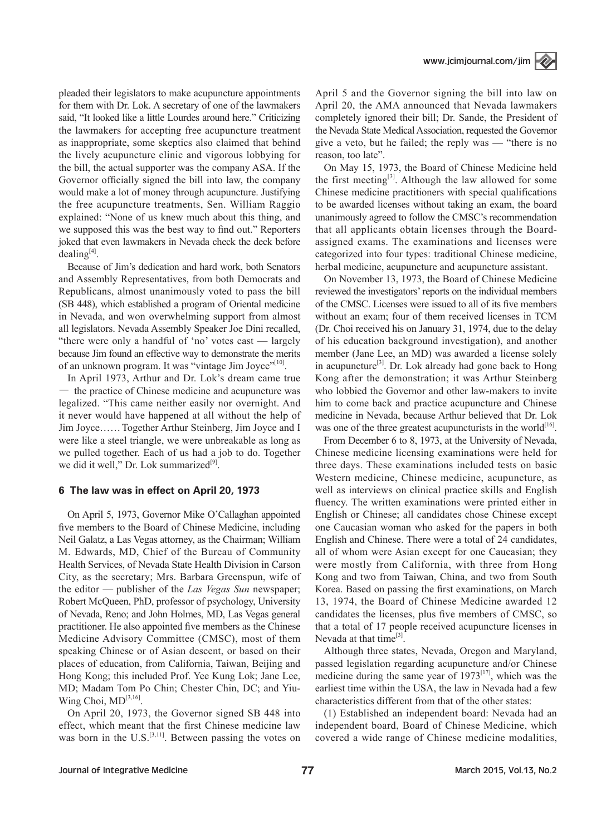

pleaded their legislators to make acupuncture appointments for them with Dr. Lok. A secretary of one of the lawmakers said, "It looked like a little Lourdes around here." Criticizing the lawmakers for accepting free acupuncture treatment as inappropriate, some skeptics also claimed that behind the lively acupuncture clinic and vigorous lobbying for the bill, the actual supporter was the company ASA. If the Governor officially signed the bill into law, the company would make a lot of money through acupuncture. Justifying the free acupuncture treatments, Sen. William Raggio explained: "None of us knew much about this thing, and we supposed this was the best way to find out." Reporters joked that even lawmakers in Nevada check the deck before  $dealing^{[4]}$ .

Because of Jim's dedication and hard work, both Senators and Assembly Representatives, from both Democrats and Republicans, almost unanimously voted to pass the bill (SB 448), which established a program of Oriental medicine in Nevada, and won overwhelming support from almost all legislators. Nevada Assembly Speaker Joe Dini recalled, "there were only a handful of 'no' votes cast — largely because Jim found an effective way to demonstrate the merits of an unknown program. It was "vintage Jim Joyce"<sup>[10]</sup>.

In April 1973, Arthur and Dr. Lok's dream came true — the practice of Chinese medicine and acupuncture was legalized. "This came neither easily nor overnight. And it never would have happened at all without the help of Jim Joyce……Together Arthur Steinberg, Jim Joyce and I were like a steel triangle, we were unbreakable as long as we pulled together. Each of us had a job to do. Together we did it well," Dr. Lok summarized $[9]$ .

#### 6 The law was in effect on April 20, 1973

On April 5, 1973, Governor Mike O'Callaghan appointed five members to the Board of Chinese Medicine, including Neil Galatz, a Las Vegas attorney, as the Chairman; William M. Edwards, MD, Chief of the Bureau of Community Health Services, of Nevada State Health Division in Carson City, as the secretary; Mrs. Barbara Greenspun, wife of the editor — publisher of the *Las Vegas Sun* newspaper; Robert McQueen, PhD, professor of psychology, University of Nevada, Reno; and John Holmes, MD, Las Vegas general practitioner. He also appointed five members as the Chinese Medicine Advisory Committee (CMSC), most of them speaking Chinese or of Asian descent, or based on their places of education, from California, Taiwan, Beijing and Hong Kong; this included Prof. Yee Kung Lok; Jane Lee, MD; Madam Tom Po Chin; Chester Chin, DC; and Yiu-Wing Choi,  $MD^{[3,16]}$ .

On April 20, 1973, the Governor signed SB 448 into effect, which meant that the first Chinese medicine law was born in the  $U.S.$ <sup>[3,11]</sup>. Between passing the votes on

April 5 and the Governor signing the bill into law on April 20, the AMA announced that Nevada lawmakers completely ignored their bill; Dr. Sande, the President of the Nevada State Medical Association, requested the Governor give a veto, but he failed; the reply was — "there is no reason, too late".

On May 15, 1973, the Board of Chinese Medicine held the first meeting $[3]$ . Although the law allowed for some Chinese medicine practitioners with special qualifications to be awarded licenses without taking an exam, the board unanimously agreed to follow the CMSC's recommendation that all applicants obtain licenses through the Boardassigned exams. The examinations and licenses were categorized into four types: traditional Chinese medicine, herbal medicine, acupuncture and acupuncture assistant.

On November 13, 1973, the Board of Chinese Medicine reviewed the investigators' reports on the individual members of the CMSC. Licenses were issued to all of its five members without an exam; four of them received licenses in TCM (Dr. Choi received his on January 31, 1974, due to the delay of his education background investigation), and another member (Jane Lee, an MD) was awarded a license solely in acupuncture<sup>[3]</sup>. Dr. Lok already had gone back to Hong Kong after the demonstration; it was Arthur Steinberg who lobbied the Governor and other law-makers to invite him to come back and practice acupuncture and Chinese medicine in Nevada, because Arthur believed that Dr. Lok was one of the three greatest acupuncturists in the world $16$ .

From December 6 to 8, 1973, at the University of Nevada, Chinese medicine licensing examinations were held for three days. These examinations included tests on basic Western medicine, Chinese medicine, acupuncture, as well as interviews on clinical practice skills and English fluency. The written examinations were printed either in English or Chinese; all candidates chose Chinese except one Caucasian woman who asked for the papers in both English and Chinese. There were a total of 24 candidates, all of whom were Asian except for one Caucasian; they were mostly from California, with three from Hong Kong and two from Taiwan, China, and two from South Korea. Based on passing the first examinations, on March 13, 1974, the Board of Chinese Medicine awarded 12 candidates the licenses, plus five members of CMSC, so that a total of 17 people received acupuncture licenses in Nevada at that time<sup>[3]</sup>.

Although three states, Nevada, Oregon and Maryland, passed legislation regarding acupuncture and/or Chinese medicine during the same year of  $1973^{[17]}$ , which was the earliest time within the USA, the law in Nevada had a few characteristics different from that of the other states:

(1) Established an independent board: Nevada had an independent board, Board of Chinese Medicine, which covered a wide range of Chinese medicine modalities,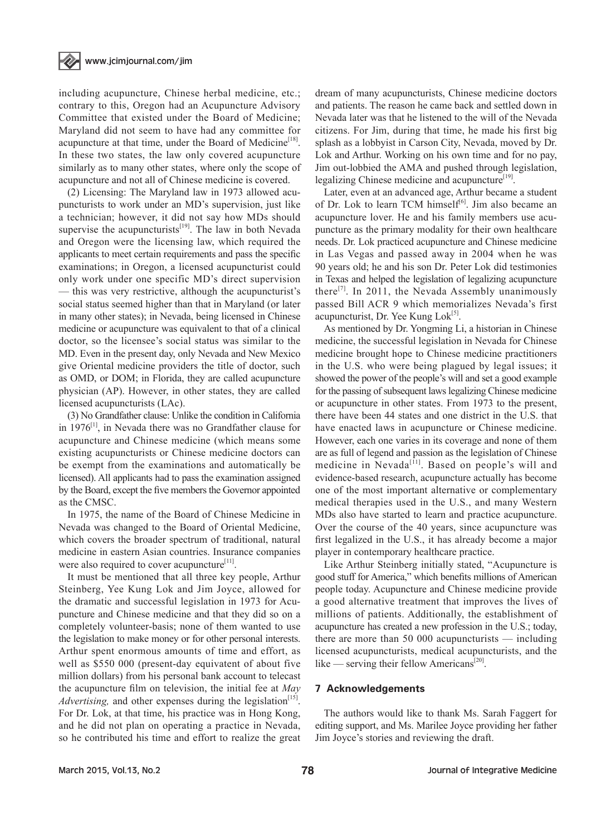

including acupuncture, Chinese herbal medicine, etc.; contrary to this, Oregon had an Acupuncture Advisory Committee that existed under the Board of Medicine; Maryland did not seem to have had any committee for acupuncture at that time, under the Board of Medicine<sup>[18]</sup>. In these two states, the law only covered acupuncture similarly as to many other states, where only the scope of acupuncture and not all of Chinese medicine is covered.

(2) Licensing: The Maryland law in 1973 allowed acupuncturists to work under an MD's supervision, just like a technician; however, it did not say how MDs should supervise the acupuncturists $[19]$ . The law in both Nevada and Oregon were the licensing law, which required the applicants to meet certain requirements and pass the specific examinations; in Oregon, a licensed acupuncturist could only work under one specific MD's direct supervision — this was very restrictive, although the acupuncturist's social status seemed higher than that in Maryland (or later in many other states); in Nevada, being licensed in Chinese medicine or acupuncture was equivalent to that of a clinical doctor, so the licensee's social status was similar to the MD. Even in the present day, only Nevada and New Mexico give Oriental medicine providers the title of doctor, such as OMD, or DOM; in Florida, they are called acupuncture physician (AP). However, in other states, they are called licensed acupuncturists (LAc).

(3) No Grandfather clause: Unlike the condition in California in 1976 $^{[1]}$ , in Nevada there was no Grandfather clause for acupuncture and Chinese medicine (which means some existing acupuncturists or Chinese medicine doctors can be exempt from the examinations and automatically be licensed). All applicants had to pass the examination assigned by the Board, except the five members the Governor appointed as the CMSC.

In 1975, the name of the Board of Chinese Medicine in Nevada was changed to the Board of Oriental Medicine, which covers the broader spectrum of traditional, natural medicine in eastern Asian countries. Insurance companies were also required to cover acupuncture $[11]$ .

It must be mentioned that all three key people, Arthur Steinberg, Yee Kung Lok and Jim Joyce, allowed for the dramatic and successful legislation in 1973 for Acupuncture and Chinese medicine and that they did so on a completely volunteer-basis; none of them wanted to use the legislation to make money or for other personal interests. Arthur spent enormous amounts of time and effort, as well as \$550 000 (present-day equivatent of about five million dollars) from his personal bank account to telecast the acupuncture film on television, the initial fee at *May Advertising,* and other expenses during the legislation<sup>[15]</sup>. For Dr. Lok, at that time, his practice was in Hong Kong, and he did not plan on operating a practice in Nevada, so he contributed his time and effort to realize the great dream of many acupuncturists, Chinese medicine doctors and patients. The reason he came back and settled down in Nevada later was that he listened to the will of the Nevada citizens. For Jim, during that time, he made his first big splash as a lobbyist in Carson City, Nevada, moved by Dr. Lok and Arthur. Working on his own time and for no pay, Jim out-lobbied the AMA and pushed through legislation, legalizing Chinese medicine and acupuncture<sup>[19]</sup>.

Later, even at an advanced age, Arthur became a student of Dr. Lok to learn TCM himself<sup>[6]</sup>. Jim also became an acupuncture lover. He and his family members use acupuncture as the primary modality for their own healthcare needs. Dr. Lok practiced acupuncture and Chinese medicine in Las Vegas and passed away in 2004 when he was 90 years old; he and his son Dr. Peter Lok did testimonies in Texas and helped the legislation of legalizing acupuncture there<sup>[7]</sup>. In 2011, the Nevada Assembly unanimously passed Bill ACR 9 which memorializes Nevada's first acupuncturist, Dr. Yee Kung Lok<sup>[5]</sup>.

As mentioned by Dr. Yongming Li, a historian in Chinese medicine, the successful legislation in Nevada for Chinese medicine brought hope to Chinese medicine practitioners in the U.S. who were being plagued by legal issues; it showed the power of the people's will and set a good example for the passing of subsequent laws legalizing Chinese medicine or acupuncture in other states. From 1973 to the present, there have been 44 states and one district in the U.S. that have enacted laws in acupuncture or Chinese medicine. However, each one varies in its coverage and none of them are as full of legend and passion as the legislation of Chinese medicine in Nevada<sup>[11]</sup>. Based on people's will and evidence-based research, acupuncture actually has become one of the most important alternative or complementary medical therapies used in the U.S., and many Western MDs also have started to learn and practice acupuncture. Over the course of the 40 years, since acupuncture was first legalized in the U.S., it has already become a major player in contemporary healthcare practice.

Like Arthur Steinberg initially stated, "Acupuncture is good stuff for America," which benefits millions of American people today. Acupuncture and Chinese medicine provide a good alternative treatment that improves the lives of millions of patients. Additionally, the establishment of acupuncture has created a new profession in the U.S.; today, there are more than 50 000 acupuncturists — including licensed acupuncturists, medical acupuncturists, and the like — serving their fellow Americans<sup>[20]</sup>.

#### 7 Acknowledgements

The authors would like to thank Ms. Sarah Faggert for editing support, and Ms. Marilee Joyce providing her father Jim Joyce's stories and reviewing the draft.